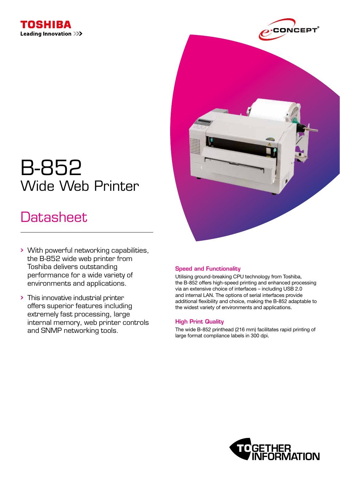



# B-852 Wide Web Printer

### **Datasheet**

- With powerful networking capabilities, the B-852 wide web printer from Toshiba delivers outstanding performance for a wide variety of environments and applications.
- This innovative industrial printer offers superior features including extremely fast processing, large internal memory, web printer controls and SNMP networking tools.



### Speed and Functionality

Utilising ground-breaking CPU technology from Toshiba, the B-852 offers high-speed printing and enhanced processing via an extensive choice of interfaces – including USB 2.0 and internal LAN. The options of serial interfaces provide additional flexibility and choice, making the B-852 adaptable to the widest variety of environments and applications.

#### **High Print Quality**

The wide B-852 printhead (216 mm) facilitates rapid printing of large format compliance labels in 300 dpi.